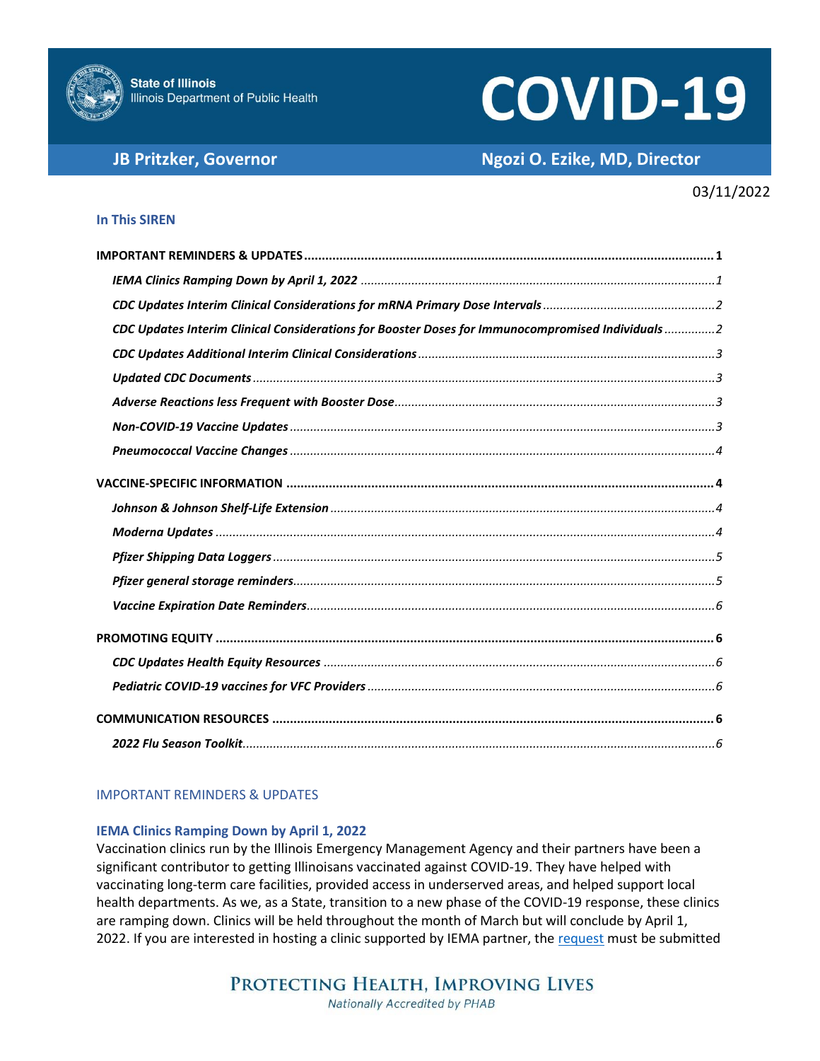

# **COVID-19**

# **JB Pritzker, Governor Ngozi O. Ezike, MD, Director**

# 03/11/2022

# **In This SIREN**

| CDC Updates Interim Clinical Considerations for Booster Doses for Immunocompromised Individuals 2 |
|---------------------------------------------------------------------------------------------------|
|                                                                                                   |
|                                                                                                   |
|                                                                                                   |
|                                                                                                   |
|                                                                                                   |
|                                                                                                   |
|                                                                                                   |
|                                                                                                   |
|                                                                                                   |
|                                                                                                   |
|                                                                                                   |
|                                                                                                   |
|                                                                                                   |
|                                                                                                   |
|                                                                                                   |
|                                                                                                   |

# <span id="page-0-0"></span>IMPORTANT REMINDERS & UPDATES

# <span id="page-0-1"></span>**IEMA Clinics Ramping Down by April 1, 2022**

Vaccination clinics run by the Illinois Emergency Management Agency and their partners have been a significant contributor to getting Illinoisans vaccinated against COVID-19. They have helped with vaccinating long-term care facilities, provided access in underserved areas, and helped support local health departments. As we, as a State, transition to a new phase of the COVID-19 response, these clinics are ramping down. Clinics will be held throughout the month of March but will conclude by April 1, 2022. If you are interested in hosting a clinic supported by IEMA partner, th[e request](https://app.smartsheet.com/b/form/9a4a682040704efb8a93fe7071120e66) must be submitted

> PROTECTING HEALTH, IMPROVING LIVES Nationally Accredited by PHAB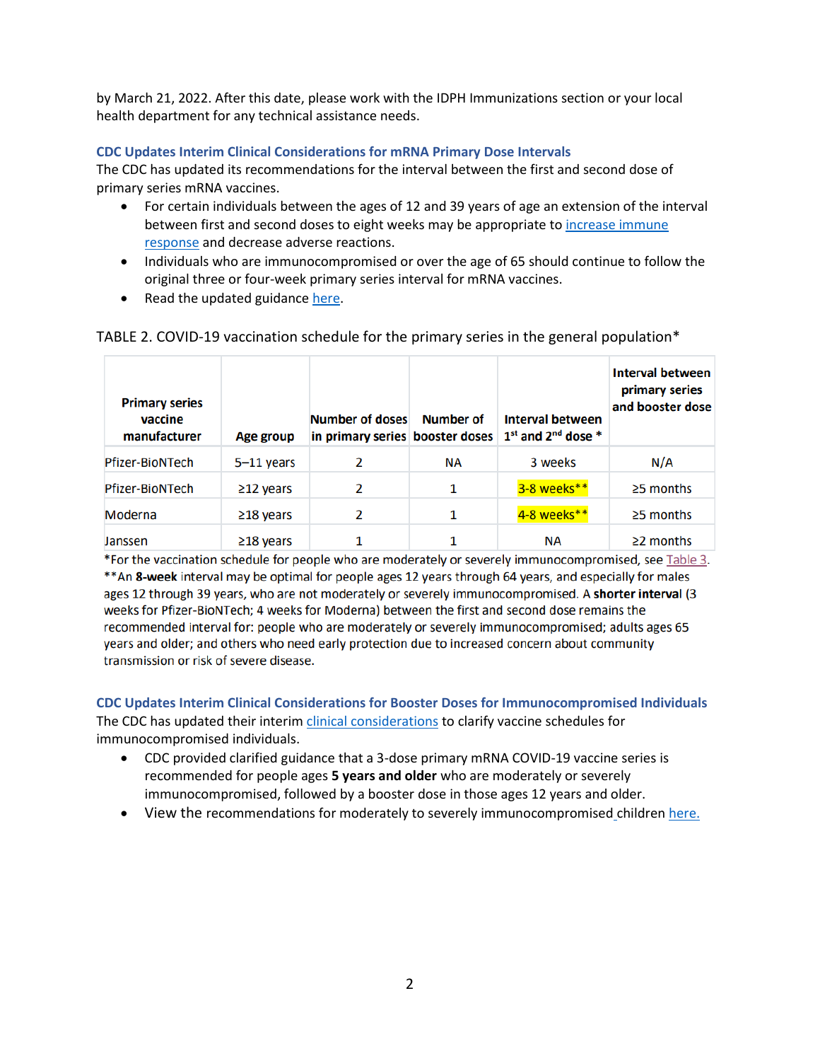by March 21, 2022. After this date, please work with the IDPH Immunizations section or your local health department for any technical assistance needs.

# <span id="page-1-0"></span>**CDC Updates Interim Clinical Considerations for mRNA Primary Dose Intervals**

The CDC has updated its recommendations for the interval between the first and second dose of primary series mRNA vaccines.

- For certain individuals between the ages of 12 and 39 years of age an extension of the interval between first and second doses to eight weeks may be appropriate t[o increase immune](https://www.cdc.gov/vaccines/acip/meetings/downloads/slides-2022-02-04/11-COVID-Moulia-508.pdf)  [response](https://www.cdc.gov/vaccines/acip/meetings/downloads/slides-2022-02-04/11-COVID-Moulia-508.pdf) and decrease adverse reactions.
- Individuals who are immunocompromised or over the age of 65 should continue to follow the original three or four-week primary series interval for mRNA vaccines.
- Read the updated guidance [here.](https://www.cdc.gov/vaccines/covid-19/clinical-considerations/covid-19-vaccines-us.html?CDC_AA_refVal=https%3A%2F%2Fwww.cdc.gov%2Fvaccines%2Fcovid-19%2Finfo-by-product%2Fclinical-considerations.html)

| <b>Primary series</b><br>vaccine<br>manufacturer | Age group       | Number of doses | Number of | <b>Interval between</b><br>in primary series booster doses   1 <sup>st</sup> and 2 <sup>nd</sup> dose * | <b>Interval between</b><br>primary series<br>and booster dose |
|--------------------------------------------------|-----------------|-----------------|-----------|---------------------------------------------------------------------------------------------------------|---------------------------------------------------------------|
| <b>Pfizer-BioNTech</b>                           | $5-11$ years    | 2               | <b>NA</b> | 3 weeks                                                                                                 | N/A                                                           |
| Pfizer-BioNTech                                  | $\geq$ 12 years | 2               | 1         | 3-8 weeks**                                                                                             | $\ge$ 5 months                                                |
| Moderna                                          | $\geq$ 18 years | 2               | 1         | 4-8 weeks**                                                                                             | $\ge$ 5 months                                                |
| Janssen                                          | $\geq$ 18 years |                 |           | NА                                                                                                      | $\geq$ 2 months                                               |

# TABLE 2. COVID-19 vaccination schedule for the primary series in the general population\*

\*For the vaccination schedule for people who are moderately or severely immunocompromised, see Table 3. \*\* An 8-week interval may be optimal for people ages 12 years through 64 years, and especially for males ages 12 through 39 years, who are not moderately or severely immunocompromised. A shorter interval (3 weeks for Pfizer-BioNTech; 4 weeks for Moderna) between the first and second dose remains the recommended interval for: people who are moderately or severely immunocompromised; adults ages 65 years and older; and others who need early protection due to increased concern about community transmission or risk of severe disease.

<span id="page-1-1"></span>**CDC Updates Interim Clinical Considerations for Booster Doses for Immunocompromised Individuals**  The CDC has updated their interim [clinical considerations](https://www.cdc.gov/vaccines/covid-19/clinical-considerations/covid-19-vaccines-us.html?CDC_AA_refVal=https%3A%2F%2Fwww.cdc.gov%2Fvaccines%2Fcovid-19%2Finfo-by-product%2Fclinical-considerations.html#vaccination-people-immunocompromised) to clarify vaccine schedules for immunocompromised individuals.

- CDC provided clarified guidance that a 3-dose primary mRNA COVID-19 vaccine series is recommended for people ages **5 years and older** who are moderately or severely immunocompromised, followed by a booster dose in those ages 12 years and older.
- View the recommendations for moderately to severely immunocompromised childre[n here.](https://www.cdc.gov/vaccines/covid-19/clinical-considerations/covid-19-vaccines-us.html#considerations-covid19-vax-immunocopromised)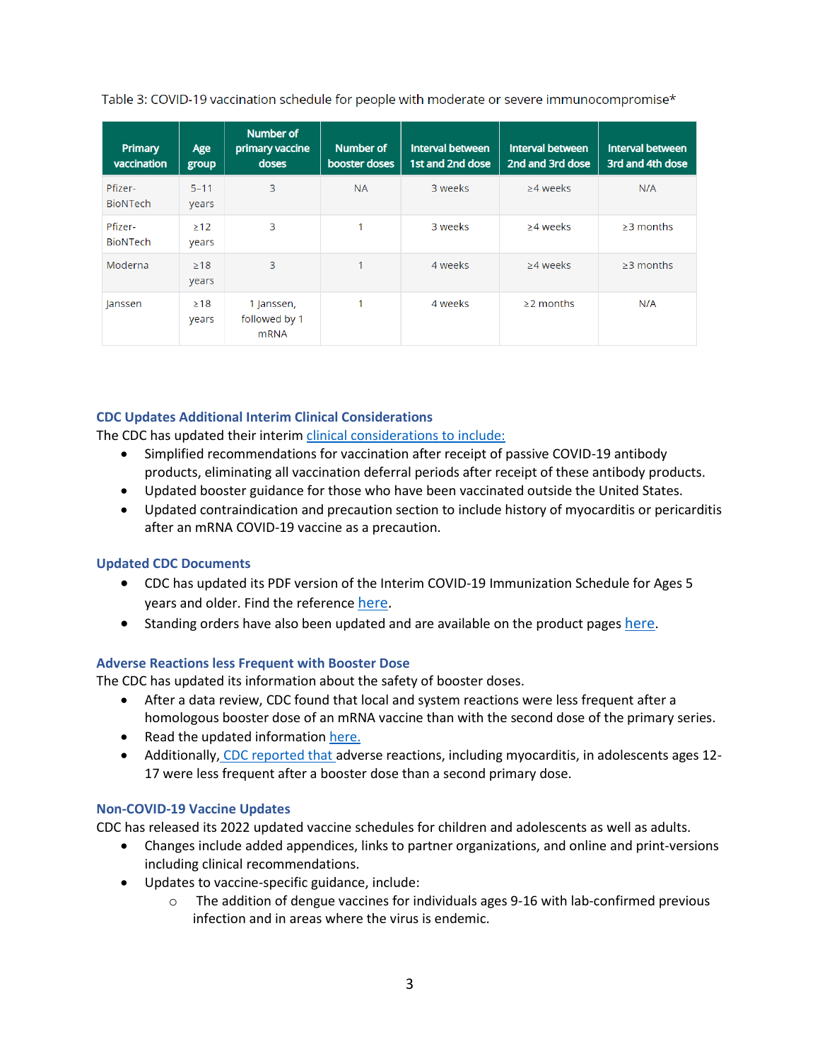Table 3: COVID-19 vaccination schedule for people with moderate or severe immunocompromise\*

| Primary<br>vaccination     | Age<br>group       | <b>Number of</b><br>primary vaccine<br>doses | Number of<br>booster doses | <b>Interval between</b><br>1st and 2nd dose | Interval between<br>2nd and 3rd dose | Interval between<br>3rd and 4th dose |
|----------------------------|--------------------|----------------------------------------------|----------------------------|---------------------------------------------|--------------------------------------|--------------------------------------|
| Pfizer-<br><b>BioNTech</b> | $5 - 11$<br>years  | 3                                            | <b>NA</b>                  | 3 weeks                                     | $\geq$ 4 weeks                       | N/A                                  |
| Pfizer-<br><b>BioNTech</b> | >12<br>years       | 3                                            | 4                          | 3 weeks                                     | >4 weeks                             | $>3$ months                          |
| Moderna                    | $\geq$ 18<br>years | 3                                            | 1                          | 4 weeks                                     | $\geq$ 4 weeks                       | $\geq$ 3 months                      |
| Janssen                    | $\geq 18$<br>years | 1 Janssen,<br>followed by 1<br><b>mRNA</b>   | и                          | 4 weeks                                     | $\geq$ 2 months                      | N/A                                  |

# <span id="page-2-0"></span>**CDC Updates Additional Interim Clinical Considerations**

The CDC has updated their interim [clinical considerations](https://www.cdc.gov/vaccines/covid-19/clinical-considerations/covid-19-vaccines-us.html?ACSTrackingID=USCDC_2120-DM75652&ACSTrackingLabel=Updated%20Guidance%3A%20Interim%20Clinical%20Considerations%20for%20Use%20of%20COVID-19%20Vaccines&deliveryName=USCDC_2120-DM75652) to include:

- Simplified recommendations for vaccination after receipt of passive COVID-19 antibody products, eliminating all vaccination deferral periods after receipt of these antibody products.
- Updated booster guidance for those who have been vaccinated outside the United States.
- Updated contraindication and precaution section to include history of myocarditis or pericarditis after an mRNA COVID-19 vaccine as a precaution.

# <span id="page-2-1"></span>**Updated CDC Documents**

- CDC has updated its PDF version of the Interim COVID-19 Immunization Schedule for Ages 5 years and older. Find the reference [here.](https://www.cdc.gov/vaccines/covid-19/downloads/COVID-19-immunization-schedule-ages-5yrs-older.pdf)
- Standing orders have also been updated and are available on the product pages [here](https://www.cdc.gov/vaccines/covid-19/info-by-product/index.html).

# <span id="page-2-2"></span>**Adverse Reactions less Frequent with Booster Dose**

The CDC has updated its information about the safety of booster doses.

- After a data review, CDC found that local and system reactions were less frequent after a homologous booster dose of an mRNA vaccine than with the second dose of the primary series.
- Read the updated information [here.](https://www.cdc.gov/mmwr/volumes/71/wr/mm7107e1.htm?s_cid=mm7107e1_x)
- Additionally, [CDC reported that](https://www.cdc.gov/mmwr/volumes/71/wr/mm7109e2.htm?s_cid=mm7109e2_x) adverse reactions, including myocarditis, in adolescents ages 12- 17 were less frequent after a booster dose than a second primary dose.

# <span id="page-2-3"></span>**Non-COVID-19 Vaccine Updates**

CDC has released its 2022 updated vaccine schedules for children and adolescents as well as adults.

- Changes include added appendices, links to partner organizations, and online and print-versions including clinical recommendations.
- Updates to vaccine-specific guidance, include:
	- $\circ$  The addition of dengue vaccines for individuals ages 9-16 with lab-confirmed previous infection and in areas where the virus is endemic.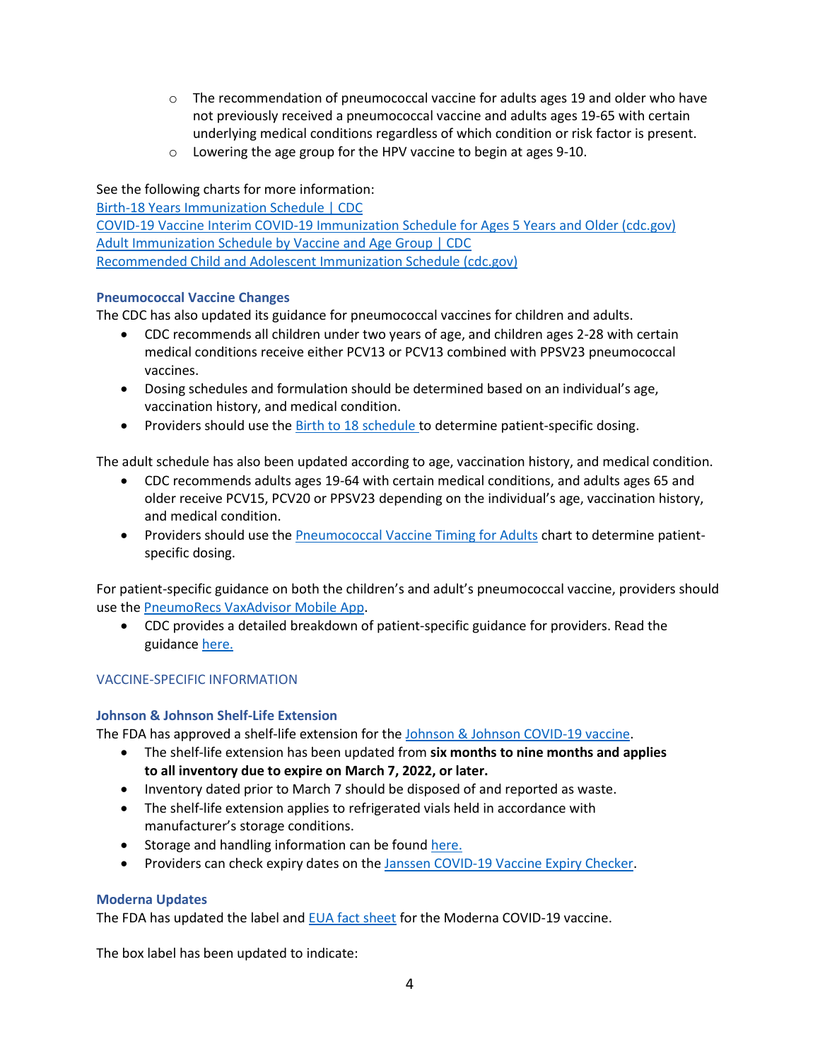- $\circ$  The recommendation of pneumococcal vaccine for adults ages 19 and older who have not previously received a pneumococcal vaccine and adults ages 19-65 with certain underlying medical conditions regardless of which condition or risk factor is present.
- o Lowering the age group for the HPV vaccine to begin at ages 9-10.

See the following charts for more information:

[Birth-18 Years Immunization Schedule | CDC](https://www.cdc.gov/vaccines/schedules/hcp/imz/child-adolescent.html) [COVID-19 Vaccine Interim COVID-19 Immunization Schedule for Ages 5 Years and Older \(cdc.gov\)](https://www.cdc.gov/vaccines/covid-19/downloads/COVID-19-immunization-schedule-ages-5yrs-older.pdf) [Adult Immunization Schedule by Vaccine and Age Group | CDC](https://www.cdc.gov/vaccines/schedules/hcp/imz/adult.html) [Recommended Child and Adolescent Immunization Schedule \(cdc.gov\)](https://www.cdc.gov/vaccines/schedules/downloads/child/0-18yrs-child-combined-schedule.pdf)

# <span id="page-3-0"></span>**Pneumococcal Vaccine Changes**

The CDC has also updated its guidance for pneumococcal vaccines for children and adults.

- CDC recommends all children under two years of age, and children ages 2-28 with certain medical conditions receive either PCV13 or PCV13 combined with PPSV23 pneumococcal vaccines.
- Dosing schedules and formulation should be determined based on an individual's age, vaccination history, and medical condition.
- Providers should use th[e Birth to 18 schedule](https://www.cdc.gov/vaccines/schedules/hcp/imz/child-adolescent.html?CDC_AA_refVal=https%3A%2F%2Fwww.cdc.gov%2Fvaccines%2Fschedules%2Fhcp%2Fchild-adolescent.html) to determine patient-specific dosing.

The adult schedule has also been updated according to age, vaccination history, and medical condition.

- CDC recommends adults ages 19-64 with certain medical conditions, and adults ages 65 and older receive PCV15, PCV20 or PPSV23 depending on the individual's age, vaccination history, and medical condition.
- Providers should use th[e Pneumococcal Vaccine Timing for Adults](https://www.cdc.gov/vaccines/vpd/pneumo/downloads/pneumo-vaccine-timing.pdf) chart to determine patientspecific dosing.

For patient-specific guidance on both the children's and adult's pneumococcal vaccine, providers should use th[e PneumoRecs VaxAdvisor Mobile App.](https://www.cdc.gov/vaccines/vpd/pneumo/hcp/pneumoapp.html)

• CDC provides a detailed breakdown of patient-specific guidance for providers. Read the guidance [here.](https://www.cdc.gov/vaccines/vpd/pneumo/hcp/who-when-to-vaccinate.html)

# <span id="page-3-1"></span>VACCINE-SPECIFIC INFORMATION

# <span id="page-3-2"></span>**Johnson & Johnson Shelf-Life Extension**

The FDA has approved a shelf-life extension for th[e Johnson & Johnson COVID-19 vaccine.](https://www.fda.gov/emergency-preparedness-and-response/coronavirus-disease-2019-covid-19/janssen-covid-19-vaccine)

- The shelf-life extension has been updated from **six months to nine months and applies to all inventory due to expire on March 7, 2022, or later.**
- Inventory dated prior to March 7 should be disposed of and reported as waste.
- The shelf-life extension applies to refrigerated vials held in accordance with manufacturer's storage conditions.
- Storage and handling information can be foun[d here.](https://www.cdc.gov/vaccines/covid-19/info-by-product/janssen/index.html)
- Providers can check expiry dates on the [Janssen COVID-19 Vaccine Expiry Checker.](https://secure-web.cisco.com/1AZMFyb5HDOEgnRqsDS37791L-qCCXHTiOGs887UZtYyOUJ1L8xW5fEZadiEIYsCmqCKd2RrRuPN9WksD-I2kCVfXeee_BvWUwlTgB5O6Ln36vBTZ-nqjsFeXQmckg2zbhoYkbttwNs25iP3uvA1vW_MQ1umHelM-UyJXe_1qtXoy_wfyglvcEweu6Aw4ehclNpxYfknrn48tN0bbme2pf7uBLtJrSMhnLd1d-bVvh-msbYdzuViGB7Tn4fXgrGJ8D6vgZCf9Dx1SPWau8Z8u9rDjHh-ZYkPPEamLbjPHOiXFQ0qy_6rglJq7KTarvet5x-lKj5b5bRhxaGG2X6UJ6g50OeJbqt_hYMStue7WGlK2i-wOyl8uVzR5IZm-hT6nBEUZrggvnMwbEqie33xyOnhCui9aw0tnM6TAojiRX0Q/https%3A%2F%2Fvaxcheck.jnj%2F)

# <span id="page-3-3"></span>**Moderna Updates**

The FDA has updated the label an[d EUA fact sheet](https://www.fda.gov/emergency-preparedness-and-response/coronavirus-disease-2019-covid-19/moderna-covid-19-vaccine) for the Moderna COVID-19 vaccine.

The box label has been updated to indicate: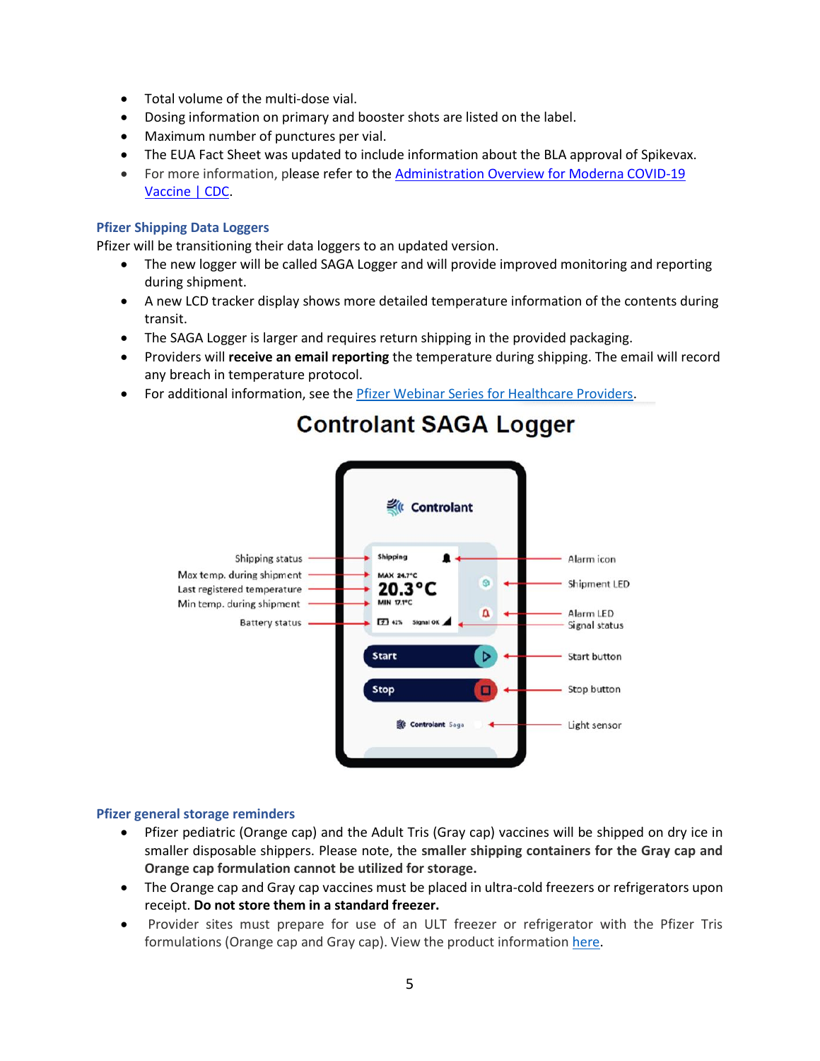- Total volume of the multi-dose vial.
- Dosing information on primary and booster shots are listed on the label.
- Maximum number of punctures per vial.
- The EUA Fact Sheet was updated to include information about the BLA approval of Spikevax.
- For more information, please refer to the [Administration](https://secure-web.cisco.com/1IWCpc4JX8yCG3PYwUVNpovdqeCkdJHYJbNjmIG_FOa_ERRTiB2fwSUBlxzzgw8RhRGothFQ_sovK9djl4E0zzSAtjYuysxFH276GOKhwD2_dy25iUwQx5Vn8VwgNzj9Qn2iNvt167mw6YABcsVyanmuMwS-YXEmAd89u1km5FdAHkuHcGPwlJ-Y3DV8dzbml8jArvw37FrE-gg9DngdcsKeGh6iNd1nl9kiDHIAlJb6TUmJUNDn8TU-xeyr4Yff7-Bouy2Qh-qIfnQ9LO8sH2cucG_oXsuPSkN9SfNftGOgR-i6D6GYqpm-Om0vxXkI5nu_W77gWfvVYZBDyHMtka-Z7zDviUoN_gkUovfWiCCX2nSz03MhgZf7YVAAwGVM-zyb72dxvKx1mdVIvG1JgFmin1CeSBYSFHgzgyXNuQV_5y7B53RfTyToiFlrk3a3M/https%3A%2F%2Fwww.cdc.gov%2Fvaccines%2Fcovid-19%2Finfo-by-product%2Fmoderna%2Findex.html) Overview for Moderna COVID-19 [Vaccine](https://secure-web.cisco.com/1IWCpc4JX8yCG3PYwUVNpovdqeCkdJHYJbNjmIG_FOa_ERRTiB2fwSUBlxzzgw8RhRGothFQ_sovK9djl4E0zzSAtjYuysxFH276GOKhwD2_dy25iUwQx5Vn8VwgNzj9Qn2iNvt167mw6YABcsVyanmuMwS-YXEmAd89u1km5FdAHkuHcGPwlJ-Y3DV8dzbml8jArvw37FrE-gg9DngdcsKeGh6iNd1nl9kiDHIAlJb6TUmJUNDn8TU-xeyr4Yff7-Bouy2Qh-qIfnQ9LO8sH2cucG_oXsuPSkN9SfNftGOgR-i6D6GYqpm-Om0vxXkI5nu_W77gWfvVYZBDyHMtka-Z7zDviUoN_gkUovfWiCCX2nSz03MhgZf7YVAAwGVM-zyb72dxvKx1mdVIvG1JgFmin1CeSBYSFHgzgyXNuQV_5y7B53RfTyToiFlrk3a3M/https%3A%2F%2Fwww.cdc.gov%2Fvaccines%2Fcovid-19%2Finfo-by-product%2Fmoderna%2Findex.html) | CDC.

#### <span id="page-4-0"></span>**Pfizer Shipping Data Loggers**

Pfizer will be transitioning their data loggers to an updated version.

- The new logger will be called SAGA Logger and will provide improved monitoring and reporting during shipment.
- A new LCD tracker display shows more detailed temperature information of the contents during transit.
- The SAGA Logger is larger and requires return shipping in the provided packaging.
- Providers will **receive an email reporting** the temperature during shipping. The email will record any breach in temperature protocol.
- For additional information, see the [Pfizer Webinar Series for Healthcare Providers.](https://www.pfizermedicalinformation.com/en-us/medical-updates)



# **Controlant SAGA Logger**

# <span id="page-4-1"></span>**Pfizer general storage reminders**

- Pfizer pediatric (Orange cap) and the Adult Tris (Gray cap) vaccines will be shipped on dry ice in smaller disposable shippers. Please note, the **smaller shipping containers for the Gray cap and Orange cap formulation cannot be utilized for storage.**
- The Orange cap and Gray cap vaccines must be placed in ultra-cold freezers or refrigerators upon receipt. **Do not store them in a standard freezer.**
- Provider sites must prepare for use of an ULT freezer or refrigerator with the Pfizer Tris formulations (Orange cap and Gray cap). View the product information [here.](https://www.cdc.gov/vaccines/covid-19/info-by-product/index.html)